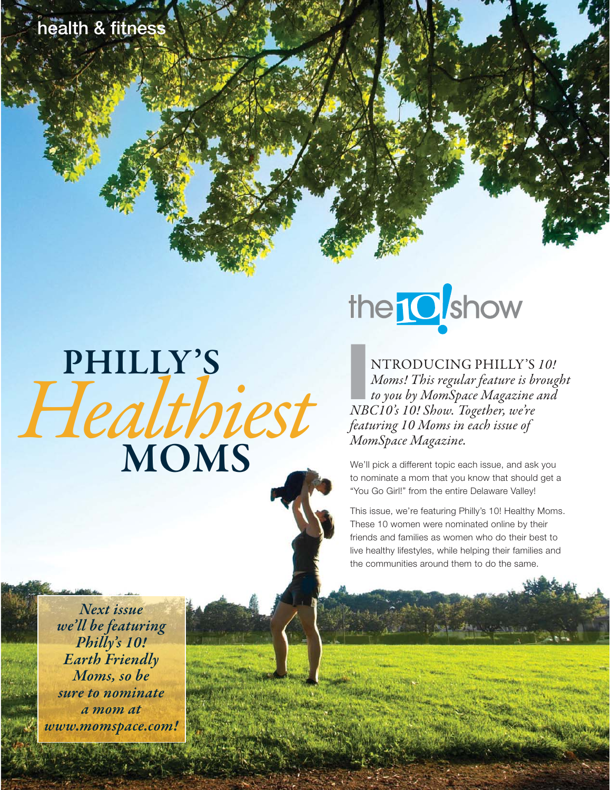# **PHILLY'S** Healthiest **MOMS**

# the **10** show

**III**<br>
NTRODUCING PHILLY'S<br> *Io you by MomSpace Magazine*<br> *IBC10's 10! Show. Together, we're* NTRODUCING PHILLY'S 10! Moms! This regular feature is brought to you by MomSpace Magazine and featuring 10 Moms in each issue of MomSpace Magazine.

We'll pick a different topic each issue, and ask you to nominate a mom that you know that should get a "You Go Girl!" from the entire Delaware Valley!

This issue, we're featuring Philly's 10! Healthy Moms. These 10 women were nominated online by their friends and families as women who do their best to live healthy lifestyles, while helping their families and the communities around them to do the same.

**Next issue we'll be featuring Philly's 10! Earth Friendly Moms, so be sure to nominate a mom at www.momspace.com!**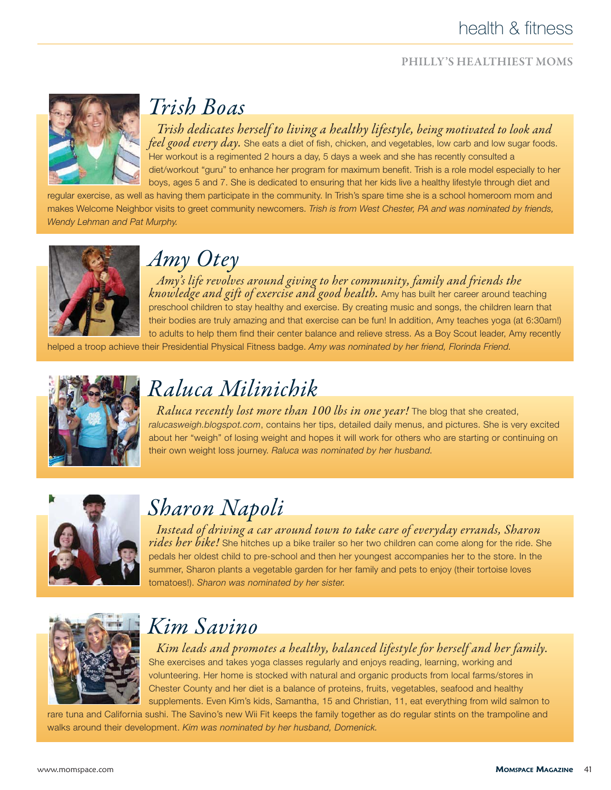### health & fitness

#### **PHILLY'S HEALTHIEST MOMS**



## Trish Boas

Trish dedicates herself to living a healthy lifestyle, being motivated to look and feel good every day. She eats a diet of fish, chicken, and vegetables, low carb and low sugar foods. Her workout is a regimented 2 hours a day, 5 days a week and she has recently consulted a diet/workout "guru" to enhance her program for maximum benefit. Trish is a role model especially to her boys, ages 5 and 7. She is dedicated to ensuring that her kids live a healthy lifestyle through diet and

regular exercise, as well as having them participate in the community. In Trish's spare time she is a school homeroom mom and makes Welcome Neighbor visits to greet community newcomers. *Trish is from West Chester, PA and was nominated by friends, Wendy Lehman and Pat Murphy.*



### Amy Otey

Amy's life revolves around giving to her community, family and friends the knowledge and gift of exercise and good health. Amy has built her career around teaching preschool children to stay healthy and exercise. By creating music and songs, the children learn that their bodies are truly amazing and that exercise can be fun! In addition, Amy teaches yoga (at 6:30am!) to adults to help them find their center balance and relieve stress. As a Boy Scout leader, Amy recently

helped a troop achieve their Presidential Physical Fitness badge. *Amy was nominated by her friend, Florinda Friend.*



# Raluca Milinichik

Raluca recently lost more than 100 lbs in one year! The blog that she created, *ralucasweigh.blogspot.com*, contains her tips, detailed daily menus, and pictures. She is very excited about her "weigh" of losing weight and hopes it will work for others who are starting or continuing on their own weight loss journey. *Raluca was nominated by her husband.*



# Sharon Napoli

Instead of driving a car around town to take care of everyday errands, Sharon rides her bike! She hitches up a bike trailer so her two children can come along for the ride. She pedals her oldest child to pre-school and then her youngest accompanies her to the store. In the summer, Sharon plants a vegetable garden for her family and pets to enjoy (their tortoise loves tomatoes!). *Sharon was nominated by her sister.*



### Kim Savino

Kim leads and promotes a healthy, balanced lifestyle for herself and her family. She exercises and takes yoga classes regularly and enjoys reading, learning, working and volunteering. Her home is stocked with natural and organic products from local farms/stores in Chester County and her diet is a balance of proteins, fruits, vegetables, seafood and healthy supplements. Even Kim's kids, Samantha, 15 and Christian, 11, eat everything from wild salmon to

rare tuna and California sushi. The Savino's new Wii Fit keeps the family together as do regular stints on the trampoline and walks around their development. *Kim was nominated by her husband, Domenick.*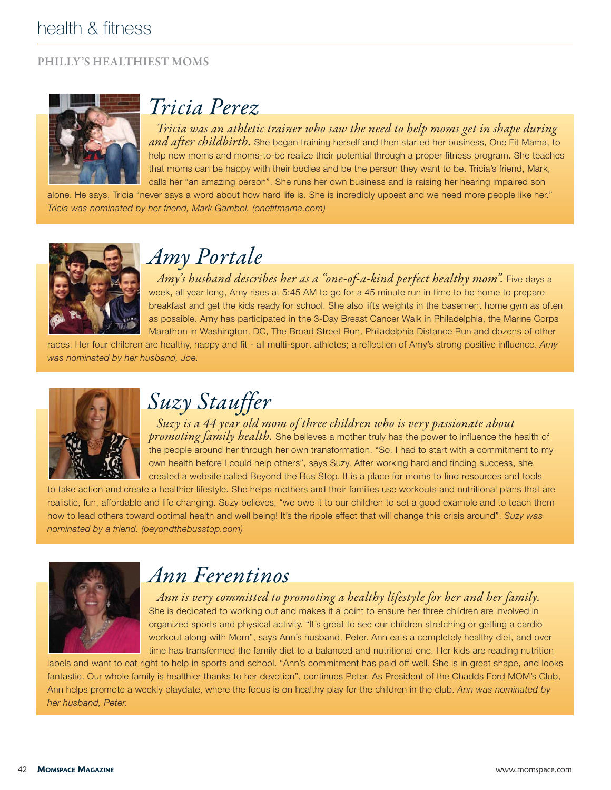#### **PHILLY'S HEALTHIEST MOMS**



### Tricia Perez

Tricia was an athletic trainer who saw the need to help moms get in shape during and after childbirth. She began training herself and then started her business, One Fit Mama, to help new moms and moms-to-be realize their potential through a proper fitness program. She teaches that moms can be happy with their bodies and be the person they want to be. Tricia's friend, Mark, calls her "an amazing person". She runs her own business and is raising her hearing impaired son

alone. He says, Tricia "never says a word about how hard life is. She is incredibly upbeat and we need more people like her." *Tricia was nominated by her friend, Mark Gambol. (onefitmama.com)*



### Amy Portale

Amy's husband describes her as a "one-of-a-kind perfect healthy mom". Five days a week, all year long, Amy rises at 5:45 AM to go for a 45 minute run in time to be home to prepare breakfast and get the kids ready for school. She also lifts weights in the basement home gym as often as possible. Amy has participated in the 3-Day Breast Cancer Walk in Philadelphia, the Marine Corps Marathon in Washington, DC, The Broad Street Run, Philadelphia Distance Run and dozens of other

races. Her four children are healthy, happy and fit - all multi-sport athletes; a reflection of Amy's strong positive influence. *Amy was nominated by her husband, Joe.*



Suzy Stauffer

Suzy is a 44 year old mom of three children who is very passionate about promoting family health. She believes a mother truly has the power to influence the health of the people around her through her own transformation. "So, I had to start with a commitment to my own health before I could help others", says Suzy. After working hard and finding success, she created a website called Beyond the Bus Stop. It is a place for moms to find resources and tools

to take action and create a healthier lifestyle. She helps mothers and their families use workouts and nutritional plans that are realistic, fun, affordable and life changing. Suzy believes, "we owe it to our children to set a good example and to teach them how to lead others toward optimal health and well being! It's the ripple effect that will change this crisis around". *Suzy was nominated by a friend. (beyondthebusstop.com)*



### Ann Ferentinos

Ann is very committed to promoting a healthy lifestyle for her and her family. She is dedicated to working out and makes it a point to ensure her three children are involved in organized sports and physical activity. "It's great to see our children stretching or getting a cardio workout along with Mom", says Ann's husband, Peter. Ann eats a completely healthy diet, and over time has transformed the family diet to a balanced and nutritional one. Her kids are reading nutrition

labels and want to eat right to help in sports and school. "Ann's commitment has paid off well. She is in great shape, and looks fantastic. Our whole family is healthier thanks to her devotion", continues Peter. As President of the Chadds Ford MOM's Club, Ann helps promote a weekly playdate, where the focus is on healthy play for the children in the club. *Ann was nominated by her husband, Peter.*